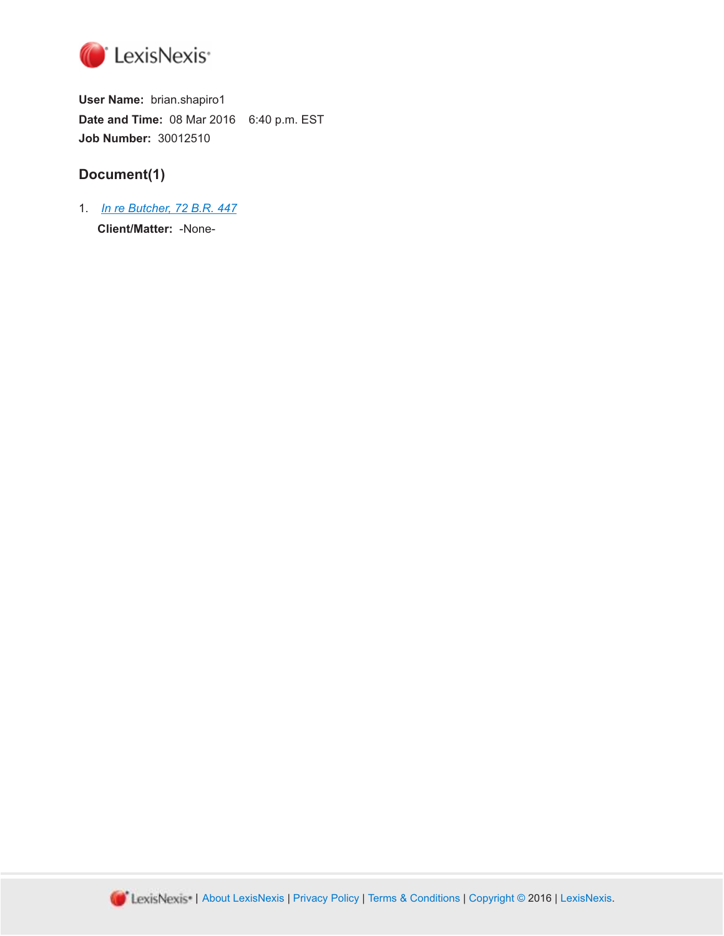

**User Name:** brian.shapiro1 **Date and Time:** 08 Mar 2016 6:40 p.m. EST **Job Number:** 30012510

# **Document(1)**

1. *[In re Butcher, 72 B.R. 447](http://advance.lexis.com/api/document?id=urn:contentItem:3S4V-MM50-0039-K22G-00000-00&idtype=PID&context=1000516)* **Client/Matter:** -None-

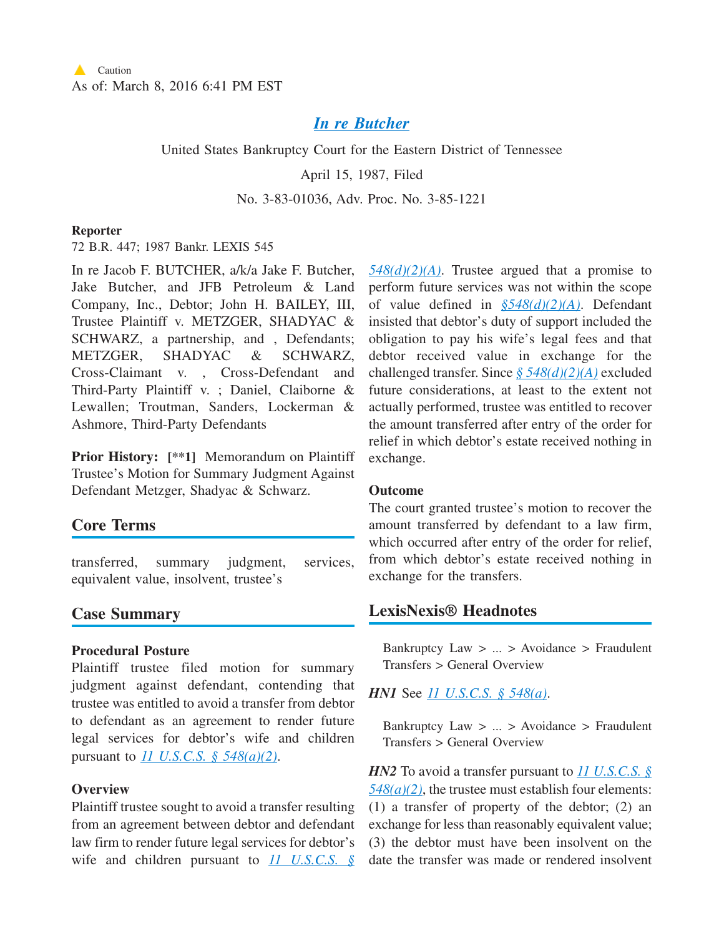## *[In re Butcher](http://advance.lexis.com/api/document?collection=cases&id=urn:contentItem:3S4V-MM50-0039-K22G-00000-00&context=1000516)*

United States Bankruptcy Court for the Eastern District of Tennessee

April 15, 1987, Filed

### No. 3-83-01036, Adv. Proc. No. 3-85-1221

#### **Reporter**

72 B.R. 447; 1987 Bankr. LEXIS 545

In re Jacob F. BUTCHER, a/k/a Jake F. Butcher, Jake Butcher, and JFB Petroleum & Land Company, Inc., Debtor; John H. BAILEY, III, Trustee Plaintiff v. METZGER, SHADYAC & SCHWARZ, a partnership, and , Defendants; METZGER, SHADYAC & SCHWARZ, Cross-Claimant v. , Cross-Defendant and Third-Party Plaintiff v. ; Daniel, Claiborne & Lewallen; Troutman, Sanders, Lockerman & Ashmore, Third-Party Defendants

**Prior History: [\*\*1]** Memorandum on Plaintiff Trustee's Motion for Summary Judgment Against Defendant Metzger, Shadyac & Schwarz.

# **Core Terms**

transferred, summary judgment, services, equivalent value, insolvent, trustee's

## **Case Summary**

### **Procedural Posture**

Plaintiff trustee filed motion for summary judgment against defendant, contending that trustee was entitled to avoid a transfer from debtor to defendant as an agreement to render future legal services for debtor's wife and children pursuant to *[11 U.S.C.S. § 548\(a\)\(2\)](http://advance.lexis.com/api/document?collection=statutes-legislation&id=urn:contentItem:4YF7-GSF1-NRF4-42DH-00000-00&context=1000516)*.

### **Overview**

Plaintiff trustee sought to avoid a transfer resulting from an agreement between debtor and defendant law firm to render future legal services for debtor's wife and children pursuant to *[11 U.S.C.S. §](http://advance.lexis.com/api/document?collection=statutes-legislation&id=urn:contentItem:4YF7-GSF1-NRF4-42DH-00000-00&context=1000516)* *[548\(d\)\(2\)\(A\)](http://advance.lexis.com/api/document?collection=statutes-legislation&id=urn:contentItem:4YF7-GSF1-NRF4-42DH-00000-00&context=1000516)*. Trustee argued that a promise to perform future services was not within the scope of value defined in *[§548\(d\)\(2\)\(A\)](http://advance.lexis.com/api/document?collection=statutes-legislation&id=urn:contentItem:4YF7-GSF1-NRF4-42DH-00000-00&context=1000516)*. Defendant insisted that debtor's duty of support included the obligation to pay his wife's legal fees and that debtor received value in exchange for the challenged transfer. Since *[§ 548\(d\)\(2\)\(A\)](http://advance.lexis.com/api/document?collection=statutes-legislation&id=urn:contentItem:4YF7-GSF1-NRF4-42DH-00000-00&context=1000516)* excluded future considerations, at least to the extent not actually performed, trustee was entitled to recover the amount transferred after entry of the order for relief in which debtor's estate received nothing in exchange.

### **Outcome**

The court granted trustee's motion to recover the amount transferred by defendant to a law firm, which occurred after entry of the order for relief, from which debtor's estate received nothing in exchange for the transfers.

## **LexisNexis® Headnotes**

Bankruptcy Law  $> ... >$  Avoidance  $>$  Fraudulent Transfers > General Overview

### *HN1* See *[11 U.S.C.S. § 548\(a\)](http://advance.lexis.com/api/document?collection=statutes-legislation&id=urn:contentItem:4YF7-GSF1-NRF4-42DH-00000-00&context=1000516)*.

Bankruptcy Law  $> ... >$  Avoidance  $>$  Fraudulent Transfers > General Overview

*HN2* To avoid a transfer pursuant to *[11 U.S.C.S. §](http://advance.lexis.com/api/document?collection=statutes-legislation&id=urn:contentItem:4YF7-GSF1-NRF4-42DH-00000-00&context=1000516)*  $548(a)(2)$ , the trustee must establish four elements: (1) a transfer of property of the debtor; (2) an exchange for less than reasonably equivalent value; (3) the debtor must have been insolvent on the date the transfer was made or rendered insolvent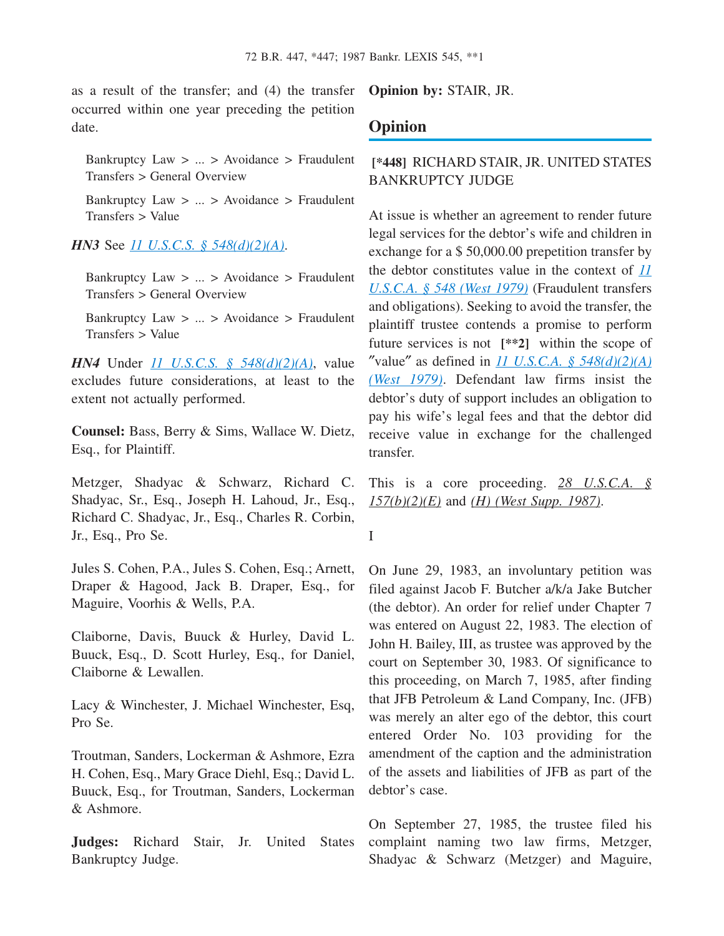as a result of the transfer; and (4) the transfer occurred within one year preceding the petition date.

Bankruptcy Law > ... > Avoidance > Fraudulent Transfers > General Overview

Bankruptcy Law > ... > Avoidance > Fraudulent Transfers > Value

### *HN3* See *[11 U.S.C.S. § 548\(d\)\(2\)\(A\)](http://advance.lexis.com/api/document?collection=statutes-legislation&id=urn:contentItem:4YF7-GSF1-NRF4-42DH-00000-00&context=1000516)*.

Bankruptcy Law > ... > Avoidance > Fraudulent Transfers > General Overview

Bankruptcy Law > ... > Avoidance > Fraudulent Transfers > Value

*HN4* Under *[11 U.S.C.S. § 548\(d\)\(2\)\(A\)](http://advance.lexis.com/api/document?collection=statutes-legislation&id=urn:contentItem:4YF7-GSF1-NRF4-42DH-00000-00&context=1000516)*, value excludes future considerations, at least to the extent not actually performed.

**Counsel:** Bass, Berry & Sims, Wallace W. Dietz, Esq., for Plaintiff.

Metzger, Shadyac & Schwarz, Richard C. Shadyac, Sr., Esq., Joseph H. Lahoud, Jr., Esq., Richard C. Shadyac, Jr., Esq., Charles R. Corbin, Jr., Esq., Pro Se.

Jules S. Cohen, P.A., Jules S. Cohen, Esq.; Arnett, Draper & Hagood, Jack B. Draper, Esq., for Maguire, Voorhis & Wells, P.A.

Claiborne, Davis, Buuck & Hurley, David L. Buuck, Esq., D. Scott Hurley, Esq., for Daniel, Claiborne & Lewallen.

Lacy & Winchester, J. Michael Winchester, Esq, Pro Se.

Troutman, Sanders, Lockerman & Ashmore, Ezra H. Cohen, Esq., Mary Grace Diehl, Esq.; David L. Buuck, Esq., for Troutman, Sanders, Lockerman & Ashmore.

**Judges:** Richard Stair, Jr. United States Bankruptcy Judge.

**Opinion by:** STAIR, JR.

## **Opinion**

## **[\*448]** RICHARD STAIR, JR. UNITED STATES BANKRUPTCY JUDGE

At issue is whether an agreement to render future legal services for the debtor's wife and children in exchange for a \$ 50,000.00 prepetition transfer by the debtor constitutes value in the context of *[11](http://advance.lexis.com/api/document?collection=statutes-legislation&id=urn:contentItem:4YF7-GSF1-NRF4-42DH-00000-00&context=1000516) [U.S.C.A. § 548 \(West 1979\)](http://advance.lexis.com/api/document?collection=statutes-legislation&id=urn:contentItem:4YF7-GSF1-NRF4-42DH-00000-00&context=1000516)* (Fraudulent transfers and obligations). Seeking to avoid the transfer, the plaintiff trustee contends a promise to perform future services is not **[\*\*2]** within the scope of "value" as defined in *11 U.S.C.A.* §  $548(d)(2)(A)$ *[\(West 1979\)](http://advance.lexis.com/api/document?collection=statutes-legislation&id=urn:contentItem:4YF7-GSF1-NRF4-42DH-00000-00&context=1000516)*. Defendant law firms insist the debtor's duty of support includes an obligation to pay his wife's legal fees and that the debtor did receive value in exchange for the challenged transfer.

This is a core proceeding. *28 U.S.C.A. § 157(b)(2)(E)* and *(H) (West Supp. 1987)*.

I

On June 29, 1983, an involuntary petition was filed against Jacob F. Butcher a/k/a Jake Butcher (the debtor). An order for relief under Chapter 7 was entered on August 22, 1983. The election of John H. Bailey, III, as trustee was approved by the court on September 30, 1983. Of significance to this proceeding, on March 7, 1985, after finding that JFB Petroleum & Land Company, Inc. (JFB) was merely an alter ego of the debtor, this court entered Order No. 103 providing for the amendment of the caption and the administration of the assets and liabilities of JFB as part of the debtor's case.

On September 27, 1985, the trustee filed his complaint naming two law firms, Metzger, Shadyac & Schwarz (Metzger) and Maguire,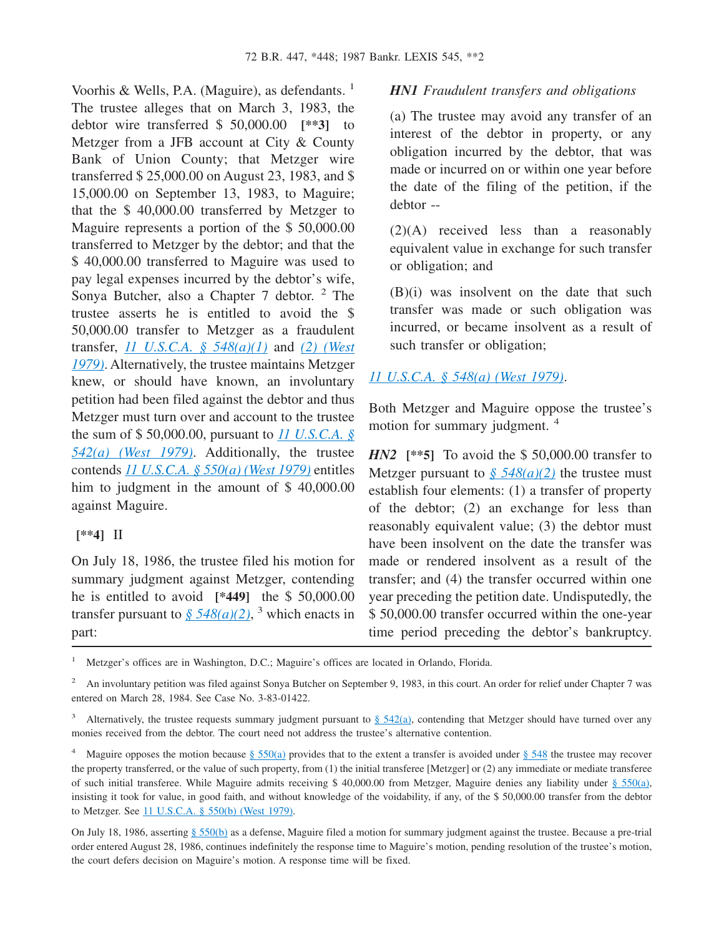Voorhis & Wells, P.A. (Maguire), as defendants. <sup>1</sup> The trustee alleges that on March 3, 1983, the debtor wire transferred \$ 50,000.00 **[\*\*3]** to Metzger from a JFB account at City & County Bank of Union County; that Metzger wire transferred \$ 25,000.00 on August 23, 1983, and \$ 15,000.00 on September 13, 1983, to Maguire; that the \$ 40,000.00 transferred by Metzger to Maguire represents a portion of the \$ 50,000.00 transferred to Metzger by the debtor; and that the \$ 40,000.00 transferred to Maguire was used to pay legal expenses incurred by the debtor's wife, Sonya Butcher, also a Chapter 7 debtor. <sup>2</sup> The trustee asserts he is entitled to avoid the \$ 50,000.00 transfer to Metzger as a fraudulent transfer, *[11 U.S.C.A. § 548\(a\)\(1\)](http://advance.lexis.com/api/document?collection=statutes-legislation&id=urn:contentItem:4YF7-GSF1-NRF4-42DH-00000-00&context=1000516)* and *[\(2\) \(West](http://advance.lexis.com/api/document?collection=statutes-legislation&id=urn:contentItem:4YF7-GSF1-NRF4-42DH-00000-00&context=1000516) [1979\)](http://advance.lexis.com/api/document?collection=statutes-legislation&id=urn:contentItem:4YF7-GSF1-NRF4-42DH-00000-00&context=1000516)*. Alternatively, the trustee maintains Metzger knew, or should have known, an involuntary petition had been filed against the debtor and thus Metzger must turn over and account to the trustee the sum of \$ 50,000.00, pursuant to *[11 U.S.C.A. §](http://advance.lexis.com/api/document?collection=statutes-legislation&id=urn:contentItem:4YF7-GJ01-NRF4-40S4-00000-00&context=1000516) [542\(a\) \(West 1979\)](http://advance.lexis.com/api/document?collection=statutes-legislation&id=urn:contentItem:4YF7-GJ01-NRF4-40S4-00000-00&context=1000516)*. Additionally, the trustee contends *[11 U.S.C.A. § 550\(a\) \(West 1979\)](http://advance.lexis.com/api/document?collection=statutes-legislation&id=urn:contentItem:4YF7-GN61-NRF4-41B2-00000-00&context=1000516)* entitles him to judgment in the amount of \$ 40,000.00 against Maguire.

### **[\*\*4]** II

On July 18, 1986, the trustee filed his motion for summary judgment against Metzger, contending he is entitled to avoid **[\*449]** the \$ 50,000.00 transfer pursuant to  $\frac{\sqrt{548(a)(2)}}{3}$  which enacts in part:

### *HN1 Fraudulent transfers and obligations*

(a) The trustee may avoid any transfer of an interest of the debtor in property, or any obligation incurred by the debtor, that was made or incurred on or within one year before the date of the filing of the petition, if the debtor --

(2)(A) received less than a reasonably equivalent value in exchange for such transfer or obligation; and

(B)(i) was insolvent on the date that such transfer was made or such obligation was incurred, or became insolvent as a result of such transfer or obligation;

## *[11 U.S.C.A. § 548\(a\) \(West 1979\)](http://advance.lexis.com/api/document?collection=statutes-legislation&id=urn:contentItem:4YF7-GSF1-NRF4-42DH-00000-00&context=1000516)*.

Both Metzger and Maguire oppose the trustee's motion for summary judgment.<sup>4</sup>

*HN2* [\*\*5] To avoid the \$50,000.00 transfer to Metzger pursuant to  $\frac{\sqrt{548(a)(2)}}{2}$  the trustee must establish four elements: (1) a transfer of property of the debtor; (2) an exchange for less than reasonably equivalent value; (3) the debtor must have been insolvent on the date the transfer was made or rendered insolvent as a result of the transfer; and (4) the transfer occurred within one year preceding the petition date. Undisputedly, the \$ 50,000.00 transfer occurred within the one-year time period preceding the debtor's bankruptcy.

<sup>1</sup> Metzger's offices are in Washington, D.C.; Maguire's offices are located in Orlando, Florida.

<sup>&</sup>lt;sup>2</sup> An involuntary petition was filed against Sonya Butcher on September 9, 1983, in this court. An order for relief under Chapter 7 was entered on March 28, 1984. See Case No. 3-83-01422.

Alternatively, the trustee requests summary judgment pursuant to [§ 542\(a\),](http://advance.lexis.com/api/document?collection=statutes-legislation&id=urn:contentItem:4YF7-GJ01-NRF4-40S4-00000-00&context=1000516) contending that Metzger should have turned over any monies received from the debtor. The court need not address the trustee's alternative contention.

<sup>&</sup>lt;sup>4</sup> Maguire opposes the motion because  $\frac{6}{550(a)}$  provides that to the extent a transfer is avoided under  $\frac{6}{548}$  the trustee may recover the property transferred, or the value of such property, from (1) the initial transferee [Metzger] or (2) any immediate or mediate transferee of such initial transferee. While Maguire admits receiving \$ 40,000.00 from Metzger, Maguire denies any liability under [§ 550\(a\),](http://advance.lexis.com/api/document?collection=statutes-legislation&id=urn:contentItem:4YF7-GN61-NRF4-41B2-00000-00&context=1000516) insisting it took for value, in good faith, and without knowledge of the voidability, if any, of the \$ 50,000.00 transfer from the debtor to Metzger. See [11 U.S.C.A. § 550\(b\) \(West 1979\).](http://advance.lexis.com/api/document?collection=statutes-legislation&id=urn:contentItem:4YF7-GN61-NRF4-41B2-00000-00&context=1000516)

On July 18, 1986, asserting [§ 550\(b\)](http://advance.lexis.com/api/document?collection=statutes-legislation&id=urn:contentItem:4YF7-GN61-NRF4-41B2-00000-00&context=1000516) as a defense, Maguire filed a motion for summary judgment against the trustee. Because a pre-trial order entered August 28, 1986, continues indefinitely the response time to Maguire's motion, pending resolution of the trustee's motion, the court defers decision on Maguire's motion. A response time will be fixed.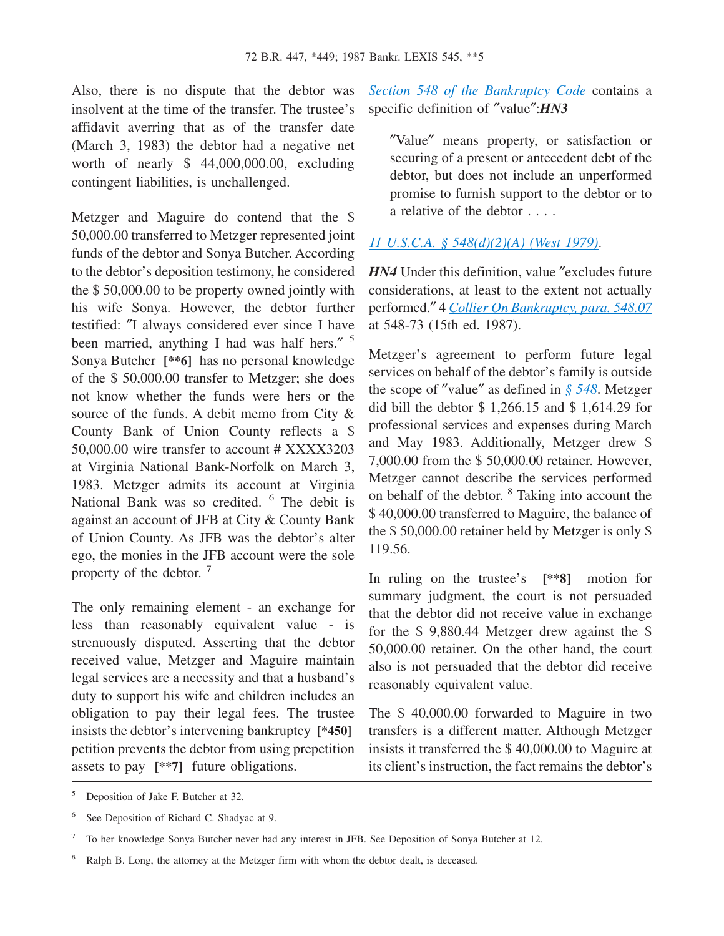Also, there is no dispute that the debtor was insolvent at the time of the transfer. The trustee's affidavit averring that as of the transfer date (March 3, 1983) the debtor had a negative net worth of nearly \$ 44,000,000.00, excluding contingent liabilities, is unchallenged.

Metzger and Maguire do contend that the \$ 50,000.00 transferred to Metzger represented joint funds of the debtor and Sonya Butcher. According to the debtor's deposition testimony, he considered the \$ 50,000.00 to be property owned jointly with his wife Sonya. However, the debtor further testified: ″I always considered ever since I have been married, anything I had was half hers." <sup>5</sup> Sonya Butcher **[\*\*6]** has no personal knowledge of the \$ 50,000.00 transfer to Metzger; she does not know whether the funds were hers or the source of the funds. A debit memo from City & County Bank of Union County reflects a \$ 50,000.00 wire transfer to account # XXXX3203 at Virginia National Bank-Norfolk on March 3, 1983. Metzger admits its account at Virginia National Bank was so credited. <sup>6</sup> The debit is against an account of JFB at City & County Bank of Union County. As JFB was the debtor's alter ego, the monies in the JFB account were the sole property of the debtor.<sup>7</sup>

The only remaining element - an exchange for less than reasonably equivalent value - is strenuously disputed. Asserting that the debtor received value, Metzger and Maguire maintain legal services are a necessity and that a husband's duty to support his wife and children includes an obligation to pay their legal fees. The trustee insists the debtor's intervening bankruptcy **[\*450]** petition prevents the debtor from using prepetition assets to pay **[\*\*7]** future obligations.

*[Section 548 of the Bankruptcy Code](http://advance.lexis.com/api/document?collection=statutes-legislation&id=urn:contentItem:4YF7-GSF1-NRF4-42DH-00000-00&context=1000516)* contains a specific definition of ″value″:*HN3*

″Value″ means property, or satisfaction or securing of a present or antecedent debt of the debtor, but does not include an unperformed promise to furnish support to the debtor or to a relative of the debtor . . . .

### *[11 U.S.C.A. § 548\(d\)\(2\)\(A\) \(West 1979\)](http://advance.lexis.com/api/document?collection=statutes-legislation&id=urn:contentItem:4YF7-GSF1-NRF4-42DH-00000-00&context=1000516)*.

*HN4* Under this definition, value "excludes future" considerations, at least to the extent not actually performed.″ 4 *[Collier On Bankruptcy, para. 548.07](http://advance.lexis.com/api/document?collection=analytical-materials&id=urn:contentItem:51R6-9670-R03K-T0D7-00000-00&context=1000516)* at 548-73 (15th ed. 1987).

Metzger's agreement to perform future legal services on behalf of the debtor's family is outside the scope of ″value″ as defined in *[§ 548](http://advance.lexis.com/api/document?collection=statutes-legislation&id=urn:contentItem:4YF7-GSF1-NRF4-42DH-00000-00&context=1000516)*. Metzger did bill the debtor \$ 1,266.15 and \$ 1,614.29 for professional services and expenses during March and May 1983. Additionally, Metzger drew \$ 7,000.00 from the \$ 50,000.00 retainer. However, Metzger cannot describe the services performed on behalf of the debtor. <sup>8</sup> Taking into account the \$ 40,000.00 transferred to Maguire, the balance of the \$ 50,000.00 retainer held by Metzger is only \$ 119.56.

In ruling on the trustee's **[\*\*8]** motion for summary judgment, the court is not persuaded that the debtor did not receive value in exchange for the \$ 9,880.44 Metzger drew against the \$ 50,000.00 retainer. On the other hand, the court also is not persuaded that the debtor did receive reasonably equivalent value.

The \$ 40,000.00 forwarded to Maguire in two transfers is a different matter. Although Metzger insists it transferred the \$ 40,000.00 to Maguire at its client's instruction, the fact remains the debtor's

<sup>5</sup> Deposition of Jake F. Butcher at 32.

<sup>6</sup> See Deposition of Richard C. Shadyac at 9.

<sup>7</sup> To her knowledge Sonya Butcher never had any interest in JFB. See Deposition of Sonya Butcher at 12.

<sup>&</sup>lt;sup>8</sup> Ralph B. Long, the attorney at the Metzger firm with whom the debtor dealt, is deceased.